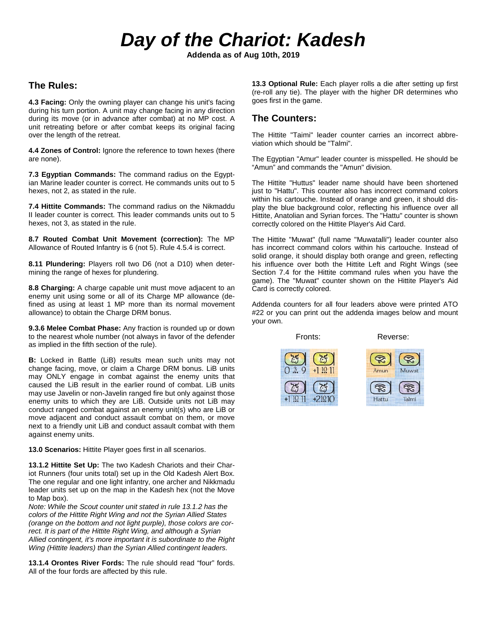# *Day of the Chariot: Kadesh*

**Addenda as of Aug 10th, 2019**

### **The Rules:**

**4.3 Facing:** Only the owning player can change his unit's facing during his turn portion. A unit may change facing in any direction during its move (or in advance after combat) at no MP cost. A unit retreating before or after combat keeps its original facing over the length of the retreat.

**4.4 Zones of Control:** Ignore the reference to town hexes (there are none).

**7.3 Egyptian Commands:** The command radius on the Egyptian Marine leader counter is correct. He commands units out to 5 hexes, not 2, as stated in the rule.

**7.4 Hittite Commands:** The command radius on the Nikmaddu II leader counter is correct. This leader commands units out to 5 hexes, not 3, as stated in the rule.

**8.7 Routed Combat Unit Movement (correction):** The MP Allowance of Routed Infantry is 6 (not 5). Rule 4.5.4 is correct.

**8.11 Plundering:** Players roll two D6 (not a D10) when determining the range of hexes for plundering.

**8.8 Charging:** A charge capable unit must move adjacent to an enemy unit using some or all of its Charge MP allowance (defined as using at least 1 MP more than its normal movement allowance) to obtain the Charge DRM bonus.

**9.3.6 Melee Combat Phase:** Any fraction is rounded up or down to the nearest whole number (not always in favor of the defender as implied in the fifth section of the rule).

**B:** Locked in Battle (LiB) results mean such units may not change facing, move, or claim a Charge DRM bonus. LiB units may ONLY engage in combat against the enemy units that caused the LiB result in the earlier round of combat. LiB units may use Javelin or non-Javelin ranged fire but only against those enemy units to which they are LiB. Outside units not LiB may conduct ranged combat against an enemy unit(s) who are LiB or move adjacent and conduct assault combat on them, or move next to a friendly unit LiB and conduct assault combat with them against enemy units.

**13.0 Scenarios:** Hittite Player goes first in all scenarios.

**13.1.2 Hittite Set Up:** The two Kadesh Chariots and their Chariot Runners (four units total) set up in the Old Kadesh Alert Box. The one regular and one light infantry, one archer and Nikkmadu leader units set up on the map in the Kadesh hex (not the Move to Map box).

*Note: While the Scout counter unit stated in rule 13.1.2 has the colors of the Hittite Right Wing and not the Syrian Allied States (orange on the bottom and not light purple), those colors are correct. It is part of the Hittite Right Wing, and although a Syrian Allied contingent, it's more important it is subordinate to the Right Wing (Hittite leaders) than the Syrian Allied contingent leaders.*

**13.1.4 Orontes River Fords:** The rule should read "four" fords. All of the four fords are affected by this rule.

**13.3 Optional Rule:** Each player rolls a die after setting up first (re-roll any tie). The player with the higher DR determines who goes first in the game.

#### **The Counters:**

The Hittite "Taimi" leader counter carries an incorrect abbreviation which should be "Talmi".

The Egyptian "Amur" leader counter is misspelled. He should be "Amun" and commands the "Amun" division.

The Hittite "Huttus" leader name should have been shortened just to "Hattu". This counter also has incorrect command colors within his cartouche. Instead of orange and green, it should display the blue background color, reflecting his influence over all Hittite, Anatolian and Syrian forces. The "Hattu" counter is shown correctly colored on the Hittite Player's Aid Card.

The Hittite "Muwat" (full name "Muwatalli") leader counter also has incorrect command colors within his cartouche. Instead of solid orange, it should display both orange and green, reflecting his influence over both the Hittite Left and Right Wings (see Section 7.4 for the Hittite command rules when you have the game). The "Muwat" counter shown on the Hittite Player's Aid Card is correctly colored.

Addenda counters for all four leaders above were printed ATO #22 or you can print out the addenda images below and mount your own.

Fronts: Reverse:



Amun Muwat



R Hattu Talmi